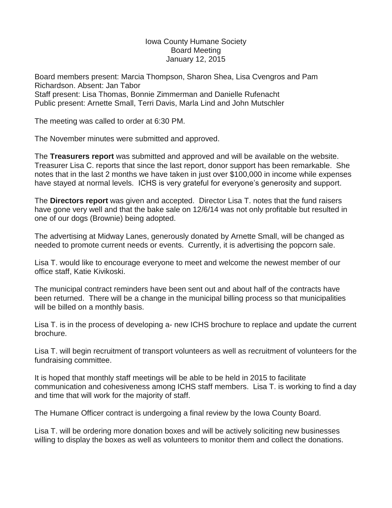## Iowa County Humane Society Board Meeting January 12, 2015

Board members present: Marcia Thompson, Sharon Shea, Lisa Cvengros and Pam Richardson. Absent: Jan Tabor Staff present: Lisa Thomas, Bonnie Zimmerman and Danielle Rufenacht Public present: Arnette Small, Terri Davis, Marla Lind and John Mutschler

The meeting was called to order at 6:30 PM.

The November minutes were submitted and approved.

The **Treasurers report** was submitted and approved and will be available on the website. Treasurer Lisa C. reports that since the last report, donor support has been remarkable. She notes that in the last 2 months we have taken in just over \$100,000 in income while expenses have stayed at normal levels. ICHS is very grateful for everyone's generosity and support.

The **Directors report** was given and accepted. Director Lisa T. notes that the fund raisers have gone very well and that the bake sale on 12/6/14 was not only profitable but resulted in one of our dogs (Brownie) being adopted.

The advertising at Midway Lanes, generously donated by Arnette Small, will be changed as needed to promote current needs or events. Currently, it is advertising the popcorn sale.

Lisa T. would like to encourage everyone to meet and welcome the newest member of our office staff, Katie Kivikoski.

The municipal contract reminders have been sent out and about half of the contracts have been returned. There will be a change in the municipal billing process so that municipalities will be billed on a monthly basis.

Lisa T. is in the process of developing a- new ICHS brochure to replace and update the current brochure.

Lisa T. will begin recruitment of transport volunteers as well as recruitment of volunteers for the fundraising committee.

It is hoped that monthly staff meetings will be able to be held in 2015 to facilitate communication and cohesiveness among ICHS staff members. Lisa T. is working to find a day and time that will work for the majority of staff.

The Humane Officer contract is undergoing a final review by the Iowa County Board.

Lisa T. will be ordering more donation boxes and will be actively soliciting new businesses willing to display the boxes as well as volunteers to monitor them and collect the donations.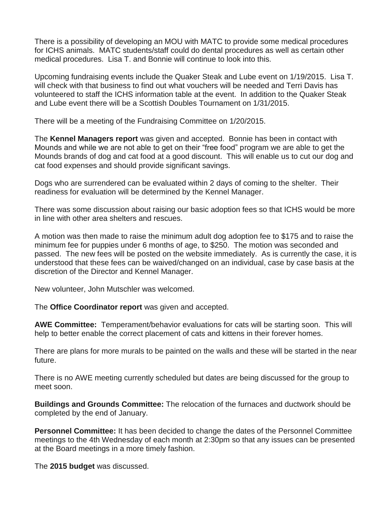There is a possibility of developing an MOU with MATC to provide some medical procedures for ICHS animals. MATC students/staff could do dental procedures as well as certain other medical procedures. Lisa T. and Bonnie will continue to look into this.

Upcoming fundraising events include the Quaker Steak and Lube event on 1/19/2015. Lisa T. will check with that business to find out what vouchers will be needed and Terri Davis has volunteered to staff the ICHS information table at the event. In addition to the Quaker Steak and Lube event there will be a Scottish Doubles Tournament on 1/31/2015.

There will be a meeting of the Fundraising Committee on 1/20/2015.

The **Kennel Managers report** was given and accepted. Bonnie has been in contact with Mounds and while we are not able to get on their "free food" program we are able to get the Mounds brands of dog and cat food at a good discount. This will enable us to cut our dog and cat food expenses and should provide significant savings.

Dogs who are surrendered can be evaluated within 2 days of coming to the shelter. Their readiness for evaluation will be determined by the Kennel Manager.

There was some discussion about raising our basic adoption fees so that ICHS would be more in line with other area shelters and rescues.

A motion was then made to raise the minimum adult dog adoption fee to \$175 and to raise the minimum fee for puppies under 6 months of age, to \$250. The motion was seconded and passed. The new fees will be posted on the website immediately. As is currently the case, it is understood that these fees can be waived/changed on an individual, case by case basis at the discretion of the Director and Kennel Manager.

New volunteer, John Mutschler was welcomed.

The **Office Coordinator report** was given and accepted.

**AWE Committee:** Temperament/behavior evaluations for cats will be starting soon. This will help to better enable the correct placement of cats and kittens in their forever homes.

There are plans for more murals to be painted on the walls and these will be started in the near future.

There is no AWE meeting currently scheduled but dates are being discussed for the group to meet soon.

**Buildings and Grounds Committee:** The relocation of the furnaces and ductwork should be completed by the end of January.

**Personnel Committee:** It has been decided to change the dates of the Personnel Committee meetings to the 4th Wednesday of each month at 2:30pm so that any issues can be presented at the Board meetings in a more timely fashion.

The **2015 budget** was discussed.